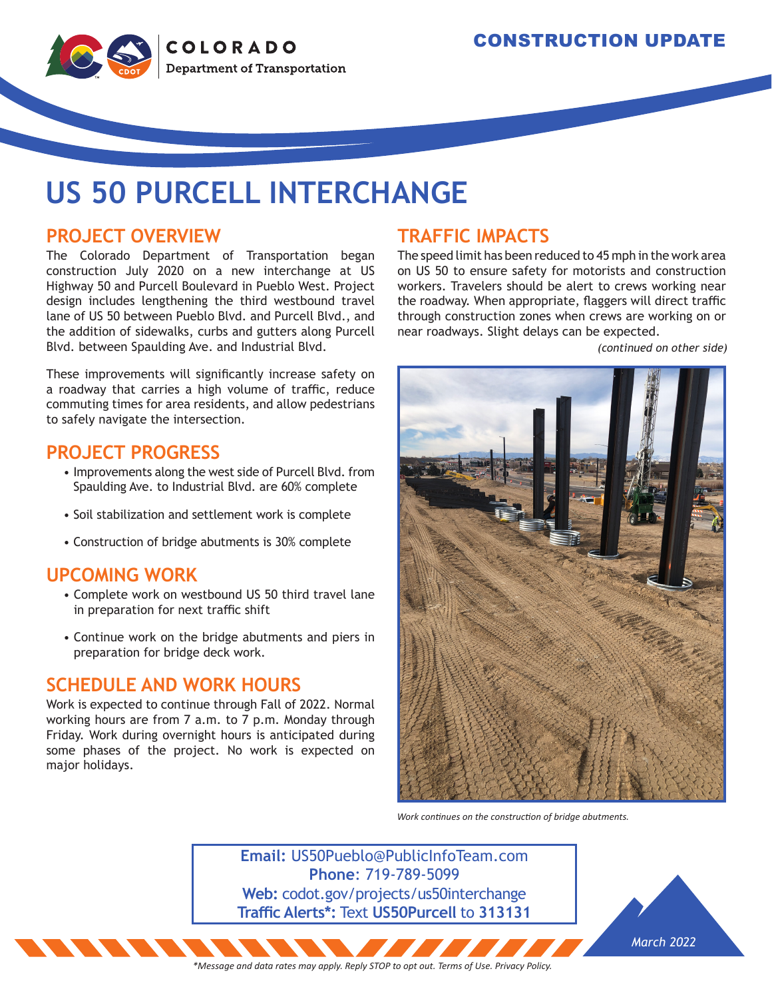

# **US 50 PURCELL INTERCHANGE**

### **PROJECT OVERVIEW**

The Colorado Department of Transportation began construction July 2020 on a new interchange at US Highway 50 and Purcell Boulevard in Pueblo West. Project design includes lengthening the third westbound travel lane of US 50 between Pueblo Blvd. and Purcell Blvd., and the addition of sidewalks, curbs and gutters along Purcell Blvd. between Spaulding Ave. and Industrial Blvd.

These improvements will significantly increase safety on a roadway that carries a high volume of traffic, reduce commuting times for area residents, and allow pedestrians to safely navigate the intersection.

#### **PROJECT PROGRESS**

- Improvements along the west side of Purcell Blvd. from Spaulding Ave. to Industrial Blvd. are 60% complete
- Soil stabilization and settlement work is complete
- Construction of bridge abutments is 30% complete

#### **UPCOMING WORK**

- Complete work on westbound US 50 third travel lane in preparation for next traffic shift
- Continue work on the bridge abutments and piers in preparation for bridge deck work.

#### **SCHEDULE AND WORK HOURS**

Work is expected to continue through Fall of 2022. Normal working hours are from 7 a.m. to 7 p.m. Monday through Friday. Work during overnight hours is anticipated during some phases of the project. No work is expected on major holidays.

### **TRAFFIC IMPACTS**

The speed limit has been reduced to 45 mph in the work area on US 50 to ensure safety for motorists and construction workers. Travelers should be alert to crews working near the roadway. When appropriate, flaggers will direct traffic through construction zones when crews are working on or near roadways. Slight delays can be expected.

*(continued on other side)*



*Work continues on the construction of bridge abutments.*

**Email:** US50Pueblo@PublicInfoTeam.com **Phone**: 719-789-5099 **Web:** codot.gov/projects/us50interchange **Traffic Alerts\*:** Text **US50Purcell** to **313131**



*\*Message and data rates may apply. Reply STOP to opt out. Terms of Use. Privacy Policy.*